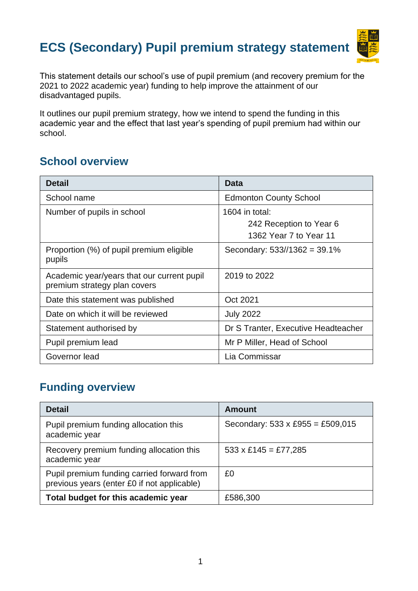# **ECS (Secondary) Pupil premium strategy statement**



This statement details our school's use of pupil premium (and recovery premium for the 2021 to 2022 academic year) funding to help improve the attainment of our disadvantaged pupils.

It outlines our pupil premium strategy, how we intend to spend the funding in this academic year and the effect that last year's spending of pupil premium had within our school.

# **School overview**

| <b>Detail</b>                                                              | Data                                                                |
|----------------------------------------------------------------------------|---------------------------------------------------------------------|
| School name                                                                | <b>Edmonton County School</b>                                       |
| Number of pupils in school                                                 | 1604 in total:<br>242 Reception to Year 6<br>1362 Year 7 to Year 11 |
| Proportion (%) of pupil premium eligible<br>pupils                         | Secondary: $533/1362 = 39.1\%$                                      |
| Academic year/years that our current pupil<br>premium strategy plan covers | 2019 to 2022                                                        |
| Date this statement was published                                          | Oct 2021                                                            |
| Date on which it will be reviewed                                          | <b>July 2022</b>                                                    |
| Statement authorised by                                                    | Dr S Tranter, Executive Headteacher                                 |
| Pupil premium lead                                                         | Mr P Miller, Head of School                                         |
| Governor lead                                                              | Lia Commissar                                                       |

# **Funding overview**

| <b>Detail</b>                                                                             | <b>Amount</b>                           |
|-------------------------------------------------------------------------------------------|-----------------------------------------|
| Pupil premium funding allocation this<br>academic year                                    | Secondary: $533 \times £955 = £509,015$ |
| Recovery premium funding allocation this<br>academic year                                 | $533 \times £145 = £77,285$             |
| Pupil premium funding carried forward from<br>previous years (enter £0 if not applicable) | £0                                      |
| Total budget for this academic year                                                       | £586,300                                |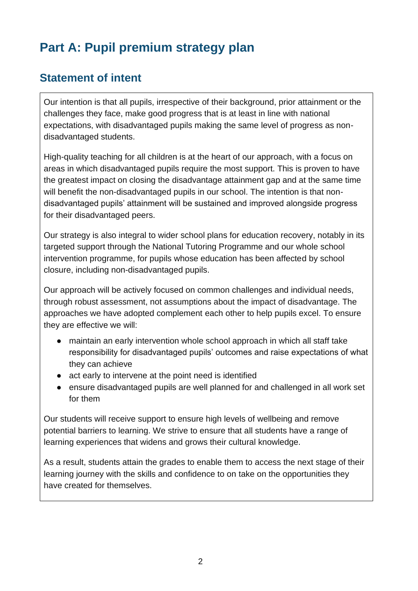# **Part A: Pupil premium strategy plan**

# **Statement of intent**

Our intention is that all pupils, irrespective of their background, prior attainment or the challenges they face, make good progress that is at least in line with national expectations, with disadvantaged pupils making the same level of progress as nondisadvantaged students.

High-quality teaching for all children is at the heart of our approach, with a focus on areas in which disadvantaged pupils require the most support. This is proven to have the greatest impact on closing the disadvantage attainment gap and at the same time will benefit the non-disadvantaged pupils in our school. The intention is that nondisadvantaged pupils' attainment will be sustained and improved alongside progress for their disadvantaged peers.

Our strategy is also integral to wider school plans for education recovery, notably in its targeted support through the National Tutoring Programme and our whole school intervention programme, for pupils whose education has been affected by school closure, including non-disadvantaged pupils.

Our approach will be actively focused on common challenges and individual needs, through robust assessment, not assumptions about the impact of disadvantage. The approaches we have adopted complement each other to help pupils excel. To ensure they are effective we will:

- maintain an early intervention whole school approach in which all staff take responsibility for disadvantaged pupils' outcomes and raise expectations of what they can achieve
- act early to intervene at the point need is identified
- ensure disadvantaged pupils are well planned for and challenged in all work set for them

Our students will receive support to ensure high levels of wellbeing and remove potential barriers to learning. We strive to ensure that all students have a range of learning experiences that widens and grows their cultural knowledge.

As a result, students attain the grades to enable them to access the next stage of their learning journey with the skills and confidence to on take on the opportunities they have created for themselves.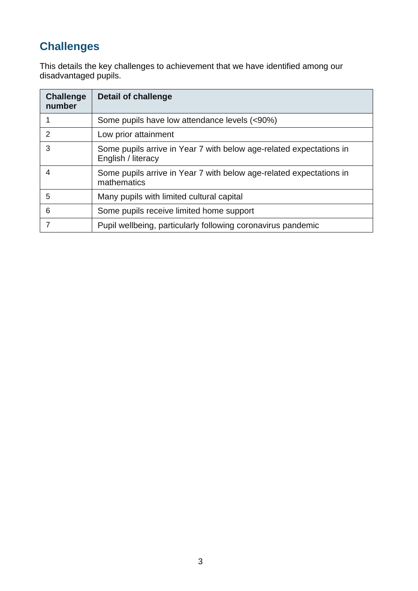# **Challenges**

This details the key challenges to achievement that we have identified among our disadvantaged pupils.

| <b>Challenge</b><br>number | <b>Detail of challenge</b>                                                                |
|----------------------------|-------------------------------------------------------------------------------------------|
|                            | Some pupils have low attendance levels (<90%)                                             |
| 2                          | Low prior attainment                                                                      |
| 3                          | Some pupils arrive in Year 7 with below age-related expectations in<br>English / literacy |
| 4                          | Some pupils arrive in Year 7 with below age-related expectations in<br>mathematics        |
| 5                          | Many pupils with limited cultural capital                                                 |
| 6                          | Some pupils receive limited home support                                                  |
|                            | Pupil wellbeing, particularly following coronavirus pandemic                              |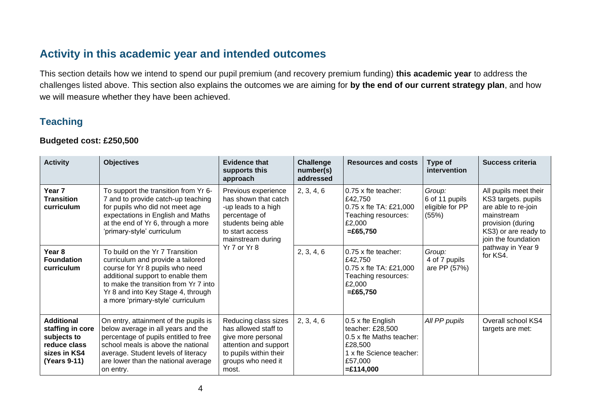#### **Activity in this academic year and intended outcomes**

This section details how we intend to spend our pupil premium (and recovery premium funding) **this academic year** to address the challenges listed above. This section also explains the outcomes we are aiming for **by the end of our current strategy plan**, and how we will measure whether they have been achieved.

#### **Teaching**

#### **Budgeted cost: £250,500**

| <b>Activity</b>                                                                                      | <b>Objectives</b>                                                                                                                                                                                                                                                | <b>Evidence that</b><br>supports this<br>approach                                                                                                                  | Challenge<br>number(s)<br>addressed | <b>Resources and costs</b>                                                                                                         | Type of<br>intervention                              | <b>Success criteria</b>                                                                                                                               |
|------------------------------------------------------------------------------------------------------|------------------------------------------------------------------------------------------------------------------------------------------------------------------------------------------------------------------------------------------------------------------|--------------------------------------------------------------------------------------------------------------------------------------------------------------------|-------------------------------------|------------------------------------------------------------------------------------------------------------------------------------|------------------------------------------------------|-------------------------------------------------------------------------------------------------------------------------------------------------------|
| Year 7<br><b>Transition</b><br>curriculum                                                            | To support the transition from Yr 6-<br>7 and to provide catch-up teaching<br>for pupils who did not meet age<br>expectations in English and Maths<br>at the end of Yr 6, through a more<br>'primary-style' curriculum                                           | Previous experience<br>has shown that catch<br>-up leads to a high<br>percentage of<br>students being able<br>to start access<br>mainstream during<br>Yr 7 or Yr 8 | 2, 3, 4, 6                          | 0.75 x fte teacher:<br>£42,750<br>0.75 x fte TA: £21,000<br>Teaching resources:<br>£2,000<br>$= £65,750$                           | Group:<br>6 of 11 pupils<br>eligible for PP<br>(55%) | All pupils meet their<br>KS3 targets. pupils<br>are able to re-join<br>mainstream<br>provision (during<br>KS3) or are ready to<br>join the foundation |
| Year <sub>8</sub><br><b>Foundation</b><br>curriculum                                                 | To build on the Yr 7 Transition<br>curriculum and provide a tailored<br>course for Yr 8 pupils who need<br>additional support to enable them<br>to make the transition from Yr 7 into<br>Yr 8 and into Key Stage 4, through<br>a more 'primary-style' curriculum |                                                                                                                                                                    | 2, 3, 4, 6                          | 0.75 x fte teacher:<br>£42,750<br>0.75 x fte TA: £21,000<br>Teaching resources:<br>£2,000<br>$= £65,750$                           | Group:<br>4 of 7 pupils<br>are PP (57%)              | pathway in Year 9<br>for KS4.                                                                                                                         |
| <b>Additional</b><br>staffing in core<br>subjects to<br>reduce class<br>sizes in KS4<br>(Years 9-11) | On entry, attainment of the pupils is<br>below average in all years and the<br>percentage of pupils entitled to free<br>school meals is above the national<br>average. Student levels of literacy<br>are lower than the national average<br>on entry.            | Reducing class sizes<br>has allowed staff to<br>give more personal<br>attention and support<br>to pupils within their<br>groups who need it<br>most.               | 2, 3, 4, 6                          | 0.5 x fte English<br>teacher: £28,500<br>0.5 x fte Maths teacher:<br>£28,500<br>1 x fte Science teacher:<br>£57,000<br>$=£114,000$ | All PP pupils                                        | Overall school KS4<br>targets are met:                                                                                                                |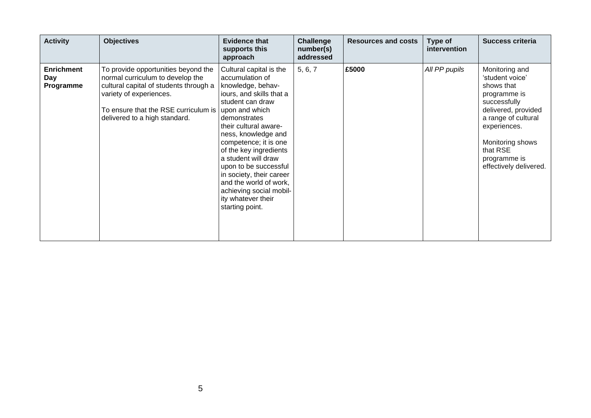| <b>Activity</b>                       | <b>Objectives</b>                                                                                                                                                                                                     | <b>Evidence that</b><br>supports this<br>approach                                                                                                                                                                                                                                                                                                                                                                              | Challenge<br>number(s)<br>addressed | <b>Resources and costs</b> | Type of<br>intervention | <b>Success criteria</b>                                                                                                                                                                                                 |
|---------------------------------------|-----------------------------------------------------------------------------------------------------------------------------------------------------------------------------------------------------------------------|--------------------------------------------------------------------------------------------------------------------------------------------------------------------------------------------------------------------------------------------------------------------------------------------------------------------------------------------------------------------------------------------------------------------------------|-------------------------------------|----------------------------|-------------------------|-------------------------------------------------------------------------------------------------------------------------------------------------------------------------------------------------------------------------|
| <b>Enrichment</b><br>Day<br>Programme | To provide opportunities beyond the<br>normal curriculum to develop the<br>cultural capital of students through a<br>variety of experiences.<br>To ensure that the RSE curriculum is<br>delivered to a high standard. | Cultural capital is the<br>accumulation of<br>knowledge, behav-<br>iours, and skills that a<br>student can draw<br>upon and which<br>demonstrates<br>their cultural aware-<br>ness, knowledge and<br>competence; it is one<br>of the key ingredients<br>a student will draw<br>upon to be successful<br>in society, their career<br>and the world of work,<br>achieving social mobil-<br>ity whatever their<br>starting point. | 5, 6, 7                             | £5000                      | All PP pupils           | Monitoring and<br>'student voice'<br>shows that<br>programme is<br>successfully<br>delivered, provided<br>a range of cultural<br>experiences.<br>Monitoring shows<br>that RSE<br>programme is<br>effectively delivered. |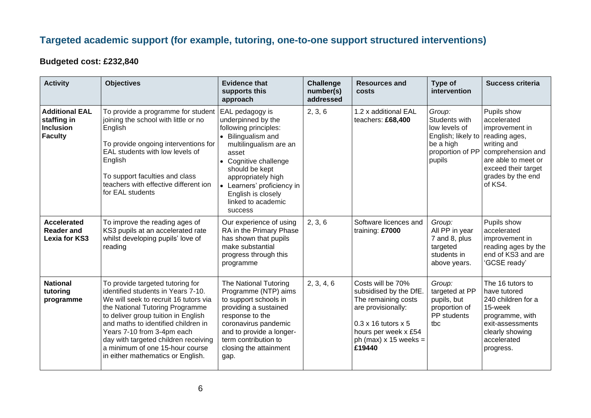### **Targeted academic support (for example, tutoring, one-to-one support structured interventions)**

#### **Budgeted cost: £232,840**

| <b>Activity</b>                                                            | <b>Objectives</b>                                                                                                                                                                                                                                                                                                                                                              | <b>Evidence that</b><br>supports this<br>approach                                                                                                                                                                                                                             | <b>Challenge</b><br>number(s)<br>addressed | <b>Resources and</b><br>costs                                                                                                                                                              | Type of<br>intervention                                                                                   | <b>Success criteria</b>                                                                                                                                                         |
|----------------------------------------------------------------------------|--------------------------------------------------------------------------------------------------------------------------------------------------------------------------------------------------------------------------------------------------------------------------------------------------------------------------------------------------------------------------------|-------------------------------------------------------------------------------------------------------------------------------------------------------------------------------------------------------------------------------------------------------------------------------|--------------------------------------------|--------------------------------------------------------------------------------------------------------------------------------------------------------------------------------------------|-----------------------------------------------------------------------------------------------------------|---------------------------------------------------------------------------------------------------------------------------------------------------------------------------------|
| <b>Additional EAL</b><br>staffing in<br><b>Inclusion</b><br><b>Faculty</b> | To provide a programme for student<br>joining the school with little or no<br>English<br>To provide ongoing interventions for<br>EAL students with low levels of<br>English<br>To support faculties and class<br>teachers with effective different ion<br>for EAL students                                                                                                     | EAL pedagogy is<br>underpinned by the<br>following principles:<br>• Bilingualism and<br>multilingualism are an<br>asset<br>• Cognitive challenge<br>should be kept<br>appropriately high<br>• Learners' proficiency in<br>English is closely<br>linked to academic<br>success | 2, 3, 6                                    | 1.2 x additional EAL<br>teachers: £68,400                                                                                                                                                  | Group:<br>Students with<br>low levels of<br>English; likely to<br>be a high<br>proportion of PP<br>pupils | Pupils show<br>accelerated<br>improvement in<br>reading ages,<br>writing and<br>comprehension and<br>are able to meet or<br>exceed their target<br>grades by the end<br>of KS4. |
| <b>Accelerated</b><br><b>Reader and</b><br><b>Lexia for KS3</b>            | To improve the reading ages of<br>KS3 pupils at an accelerated rate<br>whilst developing pupils' love of<br>reading                                                                                                                                                                                                                                                            | Our experience of using<br>RA in the Primary Phase<br>has shown that pupils<br>make substantial<br>progress through this<br>programme                                                                                                                                         | 2, 3, 6                                    | Software licences and<br>training: £7000                                                                                                                                                   | Group:<br>All PP in year<br>7 and 8, plus<br>targeted<br>students in<br>above years.                      | Pupils show<br>accelerated<br>improvement in<br>reading ages by the<br>end of KS3 and are<br>'GCSE ready'                                                                       |
| <b>National</b><br>tutoring<br>programme                                   | To provide targeted tutoring for<br>identified students in Years 7-10.<br>We will seek to recruit 16 tutors via<br>the National Tutoring Programme<br>to deliver group tuition in English<br>and maths to identified children in<br>Years 7-10 from 3-4pm each<br>day with targeted children receiving<br>a minimum of one 15-hour course<br>in either mathematics or English. | The National Tutoring<br>Programme (NTP) aims<br>to support schools in<br>providing a sustained<br>response to the<br>coronavirus pandemic<br>and to provide a longer-<br>term contribution to<br>closing the attainment<br>gap.                                              | 2, 3, 4, 6                                 | Costs will be 70%<br>subsidised by the DfE.<br>The remaining costs<br>are provisionally:<br>$0.3 \times 16$ tutors $\times 5$<br>hours per week x £54<br>ph (max) $x$ 15 weeks =<br>£19440 | Group:<br>targeted at PP<br>pupils, but<br>proportion of<br>PP students<br>tbc                            | The 16 tutors to<br>have tutored<br>240 children for a<br>15-week<br>programme, with<br>exit-assessments<br>clearly showing<br>accelerated<br>progress.                         |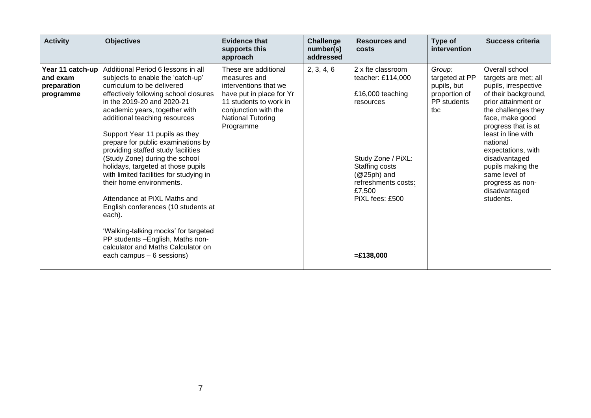| <b>Activity</b>                                          | <b>Objectives</b>                                                                                                                                                                                                                                                                                                                                                                                                                                                                                                                                                                                                                                                                                                                           | <b>Evidence that</b><br>supports this<br>approach                                                                                                                                    | <b>Challenge</b><br>number(s)<br>addressed | <b>Resources and</b><br><b>costs</b>                                                                                                                                                                | Type of<br>intervention                                                        | Success criteria                                                                                                                                                                                                                                                                                                                                |
|----------------------------------------------------------|---------------------------------------------------------------------------------------------------------------------------------------------------------------------------------------------------------------------------------------------------------------------------------------------------------------------------------------------------------------------------------------------------------------------------------------------------------------------------------------------------------------------------------------------------------------------------------------------------------------------------------------------------------------------------------------------------------------------------------------------|--------------------------------------------------------------------------------------------------------------------------------------------------------------------------------------|--------------------------------------------|-----------------------------------------------------------------------------------------------------------------------------------------------------------------------------------------------------|--------------------------------------------------------------------------------|-------------------------------------------------------------------------------------------------------------------------------------------------------------------------------------------------------------------------------------------------------------------------------------------------------------------------------------------------|
| Year 11 catch-up<br>and exam<br>preparation<br>programme | Additional Period 6 lessons in all<br>subjects to enable the 'catch-up'<br>curriculum to be delivered<br>effectively following school closures<br>in the 2019-20 and 2020-21<br>academic years, together with<br>additional teaching resources<br>Support Year 11 pupils as they<br>prepare for public examinations by<br>providing staffed study facilities<br>(Study Zone) during the school<br>holidays, targeted at those pupils<br>with limited facilities for studying in<br>their home environments.<br>Attendance at PiXL Maths and<br>English conferences (10 students at<br>each).<br>'Walking-talking mocks' for targeted<br>PP students -English, Maths non-<br>calculator and Maths Calculator on<br>each campus – 6 sessions) | These are additional<br>measures and<br>interventions that we<br>have put in place for Yr<br>11 students to work in<br>conjunction with the<br><b>National Tutoring</b><br>Programme | 2, 3, 4, 6                                 | 2 x fte classroom<br>teacher: £114,000<br>£16,000 teaching<br>resources<br>Study Zone / PiXL:<br>Staffing costs<br>$(@25ph)$ and<br>refreshments costs:<br>£7,500<br>PiXL fees: £500<br>$=£138,000$ | Group:<br>targeted at PP<br>pupils, but<br>proportion of<br>PP students<br>tbc | Overall school<br>targets are met; all<br>pupils, irrespective<br>of their background,<br>prior attainment or<br>the challenges they<br>face, make good<br>progress that is at<br>least in line with<br>national<br>expectations, with<br>disadvantaged<br>pupils making the<br>same level of<br>progress as non-<br>disadvantaged<br>students. |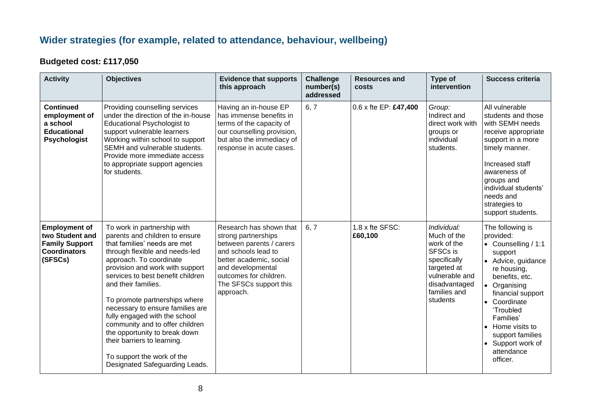### **Wider strategies (for example, related to attendance, behaviour, wellbeing)**

#### **Budgeted cost: £117,050**

| <b>Activity</b>                                                                                    | <b>Objectives</b>                                                                                                                                                                                                                                                                                                                                                                                                                                                                                                                  | <b>Evidence that supports</b><br>this approach                                                                                                                                                                     | <b>Challenge</b><br>number(s)<br>addressed | <b>Resources and</b><br>costs | Type of<br>intervention                                                                                                                             | Success criteria                                                                                                                                                                                                                                                                             |
|----------------------------------------------------------------------------------------------------|------------------------------------------------------------------------------------------------------------------------------------------------------------------------------------------------------------------------------------------------------------------------------------------------------------------------------------------------------------------------------------------------------------------------------------------------------------------------------------------------------------------------------------|--------------------------------------------------------------------------------------------------------------------------------------------------------------------------------------------------------------------|--------------------------------------------|-------------------------------|-----------------------------------------------------------------------------------------------------------------------------------------------------|----------------------------------------------------------------------------------------------------------------------------------------------------------------------------------------------------------------------------------------------------------------------------------------------|
| <b>Continued</b><br>employment of<br>a school<br><b>Educational</b><br><b>Psychologist</b>         | Providing counselling services<br>under the direction of the in-house<br>Educational Psychologist to<br>support vulnerable learners<br>Working within school to support<br>SEMH and vulnerable students.<br>Provide more immediate access<br>to appropriate support agencies<br>for students.                                                                                                                                                                                                                                      | Having an in-house EP<br>has immense benefits in<br>terms of the capacity of<br>our counselling provision,<br>but also the immediacy of<br>response in acute cases.                                                | 6, 7                                       | 0.6 x fte EP: £47,400         | Group:<br>Indirect and<br>direct work with<br>groups or<br>individual<br>students.                                                                  | All vulnerable<br>students and those<br>with SEMH needs<br>receive appropriate<br>support in a more<br>timely manner.<br>Increased staff<br>awareness of<br>groups and<br>individual students'<br>needs and<br>strategies to<br>support students.                                            |
| <b>Employment of</b><br>two Student and<br><b>Family Support</b><br><b>Coordinators</b><br>(SFSCs) | To work in partnership with<br>parents and children to ensure<br>that families' needs are met<br>through flexible and needs-led<br>approach. To coordinate<br>provision and work with support<br>services to best benefit children<br>and their families.<br>To promote partnerships where<br>necessary to ensure families are<br>fully engaged with the school<br>community and to offer children<br>the opportunity to break down<br>their barriers to learning.<br>To support the work of the<br>Designated Safeguarding Leads. | Research has shown that<br>strong partnerships<br>between parents / carers<br>and schools lead to<br>better academic, social<br>and developmental<br>outcomes for children.<br>The SFSCs support this<br>approach. | 6, 7                                       | 1.8 x fte SFSC:<br>£60,100    | Individual:<br>Much of the<br>work of the<br>SFSCs is<br>specifically<br>targeted at<br>vulnerable and<br>disadvantaged<br>families and<br>students | The following is<br>provided:<br>• Counselling / 1:1<br>support<br>• Advice, guidance<br>re housing,<br>benefits, etc.<br>• Organising<br>financial support<br>• Coordinate<br>'Troubled<br>Families'<br>• Home visits to<br>support families<br>• Support work of<br>attendance<br>officer. |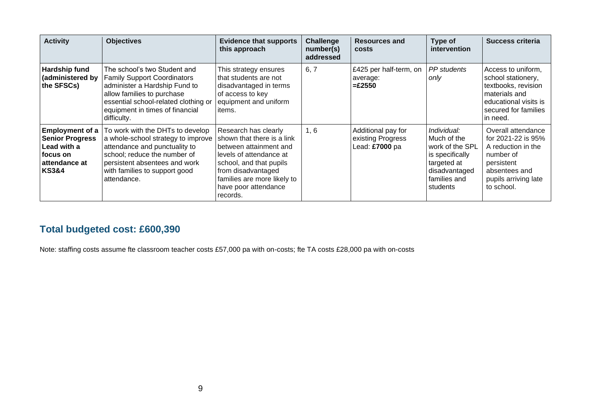| <b>Activity</b>                                                                                                   | <b>Objectives</b>                                                                                                                                                                                                           | <b>Evidence that supports</b><br>this approach                                                                                                                                                                              | <b>Challenge</b><br>number(s)<br>addressed | <b>Resources and</b><br>costs                             | Type of<br>intervention                                                                                                      | Success criteria                                                                                                                                 |
|-------------------------------------------------------------------------------------------------------------------|-----------------------------------------------------------------------------------------------------------------------------------------------------------------------------------------------------------------------------|-----------------------------------------------------------------------------------------------------------------------------------------------------------------------------------------------------------------------------|--------------------------------------------|-----------------------------------------------------------|------------------------------------------------------------------------------------------------------------------------------|--------------------------------------------------------------------------------------------------------------------------------------------------|
| <b>Hardship fund</b><br>(administered by<br>the SFSCs)                                                            | The school's two Student and<br><b>Family Support Coordinators</b><br>administer a Hardship Fund to<br>allow families to purchase<br>essential school-related clothing or<br>equipment in times of financial<br>difficulty. | This strategy ensures<br>that students are not<br>disadvantaged in terms<br>of access to key<br>equipment and uniform<br>items.                                                                                             | 6, 7                                       | £425 per half-term, on<br>average:<br>$=\pounds2550$      | <b>PP</b> students<br>only                                                                                                   | Access to uniform.<br>school stationery,<br>textbooks, revision<br>materials and<br>educational visits is<br>secured for families<br>in need.    |
| <b>Employment of a</b><br><b>Senior Progress</b><br>Lead with a<br>⊺focus on<br>attendance at<br><b>KS3&amp;4</b> | To work with the DHTs to develop<br>a whole-school strategy to improve<br>attendance and punctuality to<br>school; reduce the number of<br>persistent absentees and work<br>with families to support good<br>attendance.    | Research has clearly<br>shown that there is a link<br>between attainment and<br>levels of attendance at<br>school, and that pupils<br>from disadvantaged<br>families are more likely to<br>have poor attendance<br>records. | 1, 6                                       | Additional pay for<br>existing Progress<br>Lead: £7000 pa | Individual:<br>Much of the<br>work of the SPL<br>is specifically<br>targeted at<br>disadvantaged<br>families and<br>students | Overall attendance<br>for 2021-22 is 95%<br>A reduction in the<br>number of<br>persistent<br>absentees and<br>pupils arriving late<br>to school. |

### **Total budgeted cost: £600,390**

Note: staffing costs assume fte classroom teacher costs £57,000 pa with on-costs; fte TA costs £28,000 pa with on-costs